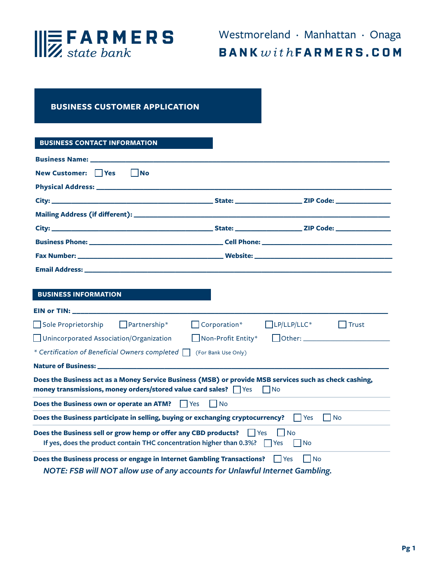

# **BUSINESS CUSTOMER APPLICATION**

## **BUSINESS CONTACT INFORMATION**

| New Customer: Yes<br>$\vert$ $\vert$ No                                                                                                                                                   |                           |                                                                            |
|-------------------------------------------------------------------------------------------------------------------------------------------------------------------------------------------|---------------------------|----------------------------------------------------------------------------|
|                                                                                                                                                                                           |                           |                                                                            |
|                                                                                                                                                                                           |                           |                                                                            |
|                                                                                                                                                                                           |                           |                                                                            |
|                                                                                                                                                                                           |                           |                                                                            |
|                                                                                                                                                                                           |                           |                                                                            |
|                                                                                                                                                                                           |                           |                                                                            |
|                                                                                                                                                                                           |                           |                                                                            |
|                                                                                                                                                                                           |                           |                                                                            |
| <b>BUSINESS INFORMATION</b>                                                                                                                                                               |                           |                                                                            |
|                                                                                                                                                                                           |                           |                                                                            |
| Sole Proprietorship DPartnership*                                                                                                                                                         | $\Box$ Corporation*       | $L$ P/LLP/LLC*<br>$\vert$ Trust                                            |
| Unincorporated Association/Organization                                                                                                                                                   | $\Box$ Non-Profit Entity* |                                                                            |
| * Certification of Beneficial Owners completed   (For Bank Use Only)                                                                                                                      |                           |                                                                            |
|                                                                                                                                                                                           |                           |                                                                            |
| Does the Business act as a Money Service Business (MSB) or provide MSB services such as check cashing,<br>money transmissions, money orders/stored value card sales? $\Box$ Yes $\Box$ No |                           |                                                                            |
| Does the Business own or operate an ATM?<br>I l Yes                                                                                                                                       | l INo                     |                                                                            |
| Does the Business participate in selling, buying or exchanging cryptocurrency? $\Box$ Yes                                                                                                 |                           | No                                                                         |
| Does the Business sell or grow hemp or offer any CBD products? $\Box$ Yes<br>If yes, does the product contain THC concentration higher than 0.3%? $\Box$ Yes $\Box$ No                    |                           | $\overline{\phantom{a}}$ $\overline{\phantom{a}}$ $\overline{\phantom{a}}$ |
| Does the Business process or engage in Internet Gambling Transactions? For Security No<br>NOTE: FSB will NOT allow use of any accounts for Unlawful Internet Gambling.                    |                           |                                                                            |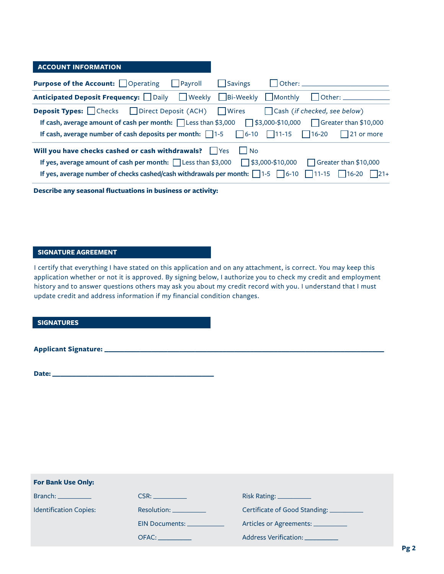## **ACCOUNT INFORMATION**

| <b>Purpose of the Account:</b> Operating Payroll                                                                                                                                                                                                                                                                                           | Savings           |                       |
|--------------------------------------------------------------------------------------------------------------------------------------------------------------------------------------------------------------------------------------------------------------------------------------------------------------------------------------------|-------------------|-----------------------|
| Anticipated Deposit Frequency: Daily Neekly Bi-Weekly Monthly                                                                                                                                                                                                                                                                              |                   | l lOther:             |
| <b>Deposit Types:</b> Checks Direct Deposit (ACH) Wires Cash (if checked, see below)<br>If cash, average amount of cash per month: $\Box$ Less than \$3,000 $\Box$ \$3,000-\$10,000 $\Box$ Greater than \$10,000<br>If cash, average number of cash deposits per month: $\Box$ 1-5 $\Box$ 6-10 $\Box$ 11-15 $\Box$ 16-20 $\Box$ 21 or more |                   |                       |
| Will you have checks cashed or cash withdrawals? Ves<br>If yes, average amount of cash per month: $\Box$ Less than \$3,000 $\Box$ \$3,000-\$10,000<br>If yes, average number of checks cashed/cash withdrawals per month: $\Box$ 1-5 $\Box$ 6-10 $\Box$ 11-15 $\Box$ 16-20 $\Box$ 21+                                                      | l IN <sub>o</sub> | Greater than \$10,000 |

**Describe any seasonal fluctuations in business or activity:** 

## **SIGNATURE AGREEMENT**

I certify that everything I have stated on this application and on any attachment, is correct. You may keep this application whether or not it is approved. By signing below, I authorize you to check my credit and employment history and to answer questions others may ask you about my credit record with you. I understand that I must update credit and address information if my financial condition changes.

**SIGNATURES**

**Applicant Signature: \_\_\_\_\_\_\_\_\_\_\_\_\_\_\_\_\_\_\_\_\_\_\_\_\_\_\_\_\_\_\_\_\_\_\_\_\_\_\_\_\_\_\_\_\_\_\_\_\_\_\_\_\_\_\_\_\_\_\_\_\_\_\_\_\_\_\_\_\_\_\_**

**Date: \_\_\_\_\_\_\_\_\_\_\_\_\_\_\_\_\_\_\_\_\_\_\_\_\_\_\_\_\_\_\_\_\_\_\_\_\_\_\_\_\_**

| <b>For Bank Use Only:</b>     |                                                                                                                                                                                                                                |                                                     |
|-------------------------------|--------------------------------------------------------------------------------------------------------------------------------------------------------------------------------------------------------------------------------|-----------------------------------------------------|
| <b>Branch: Example 19</b>     | CSR: the contract of the contract of the contract of the contract of the contract of the contract of the contract of the contract of the contract of the contract of the contract of the contract of the contract of the contr | $Risk$ Rating: $\_\_\_\_\_\_\_\_\_\_\_\_\_\_\_\_\_$ |
| <b>Identification Copies:</b> | Resolution: ___________                                                                                                                                                                                                        | Certificate of Good Standing: __________            |
|                               | EIN Documents: _____________                                                                                                                                                                                                   | Articles or Agreements: __________                  |
|                               | OFAC: A CONTROLLER CONTROLLER                                                                                                                                                                                                  | Address Verification: __________                    |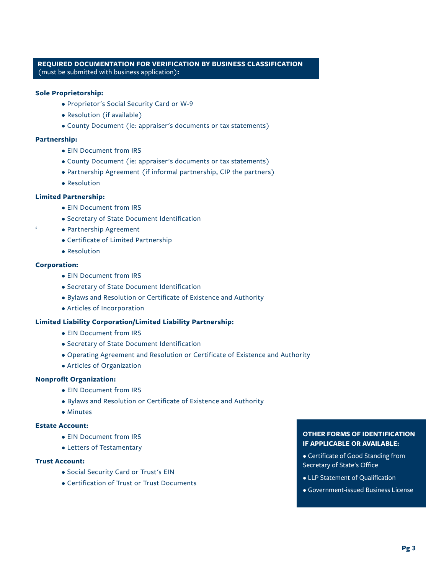## **REQUIRED DOCUMENTATION FOR VERIFICATION BY BUSINESS CLASSIFICATION** (must be submitted with business application)**:**

### **Sole Proprietorship:**

- Proprietor's Social Security Card or W-9
- Resolution (if available)
- County Document (ie: appraiser's documents or tax statements)

#### **Partnership:**

- EIN Document from IRS
- County Document (ie: appraiser's documents or tax statements)
- Partnership Agreement (if informal partnership, CIP the partners)
- Resolution

### **Limited Partnership:**

- EIN Document from IRS
- Secretary of State Document Identification
- Partnership Agreement
- Certificate of Limited Partnership
- Resolution

## **Corporation:**

- EIN Document from IRS
- Secretary of State Document Identification
- Bylaws and Resolution or Certificate of Existence and Authority
- Articles of Incorporation

### **Limited Liability Corporation/Limited Liability Partnership:**

- EIN Document from IRS
- Secretary of State Document Identification
- Operating Agreement and Resolution or Certificate of Existence and Authority
- Articles of Organization

## **Nonprofit Organization:**

- EIN Document from IRS
- Bylaws and Resolution or Certificate of Existence and Authority
- Minutes

## **Estate Account:**

- EIN Document from IRS
- Letters of Testamentary

#### **Trust Account:**

- Social Security Card or Trust's EIN
- Certification of Trust or Trust Documents

## **OTHER FORMS OF IDENTIFICATION IF APPLICABLE OR AVAILABLE:**

- Certificate of Good Standing from Secretary of State's Office
- LLP Statement of Qualification
- Government-issued Business License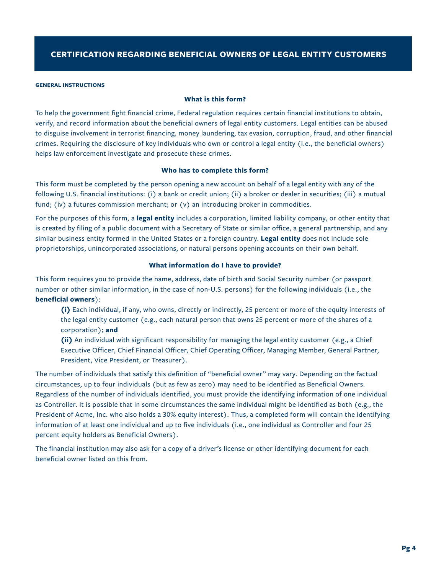#### **GENERAL INSTRUCTIONS**

## **What is this form?**

To help the government fight financial crime, Federal regulation requires certain financial institutions to obtain, verify, and record information about the beneficial owners of legal entity customers. Legal entities can be abused to disguise involvement in terrorist financing, money laundering, tax evasion, corruption, fraud, and other financial crimes. Requiring the disclosure of key individuals who own or control a legal entity (i.e., the beneficial owners) helps law enforcement investigate and prosecute these crimes.

## **Who has to complete this form?**

This form must be completed by the person opening a new account on behalf of a legal entity with any of the following U.S. financial institutions: (i) a bank or credit union; (ii) a broker or dealer in securities; (iii) a mutual fund; (iv) a futures commission merchant; or  $(v)$  an introducing broker in commodities.

For the purposes of this form, a **legal entity** includes a corporation, limited liability company, or other entity that is created by filing of a public document with a Secretary of State or similar office, a general partnership, and any similar business entity formed in the United States or a foreign country. **Legal entity** does not include sole proprietorships, unincorporated associations, or natural persons opening accounts on their own behalf.

#### **What information do I have to provide?**

This form requires you to provide the name, address, date of birth and Social Security number (or passport number or other similar information, in the case of non-U.S. persons) for the following individuals (i.e., the **beneficial owners**):

- **(i)** Each individual, if any, who owns, directly or indirectly, 25 percent or more of the equity interests of the legal entity customer (e.g., each natural person that owns 25 percent or more of the shares of a corporation); **and**
- **(ii)** An individual with significant responsibility for managing the legal entity customer (e.g., a Chief Executive Officer, Chief Financial Officer, Chief Operating Officer, Managing Member, General Partner, President, Vice President, or Treasurer).

The number of individuals that satisfy this definition of "beneficial owner" may vary. Depending on the factual circumstances, up to four individuals (but as few as zero) may need to be identified as Beneficial Owners. Regardless of the number of individuals identified, you must provide the identifying information of one individual as Controller. It is possible that in some circumstances the same individual might be identified as both (e.g., the President of Acme, Inc. who also holds a 30% equity interest). Thus, a completed form will contain the identifying information of at least one individual and up to five individuals (i.e., one individual as Controller and four 25 percent equity holders as Beneficial Owners).

The financial institution may also ask for a copy of a driver's license or other identifying document for each beneficial owner listed on this from.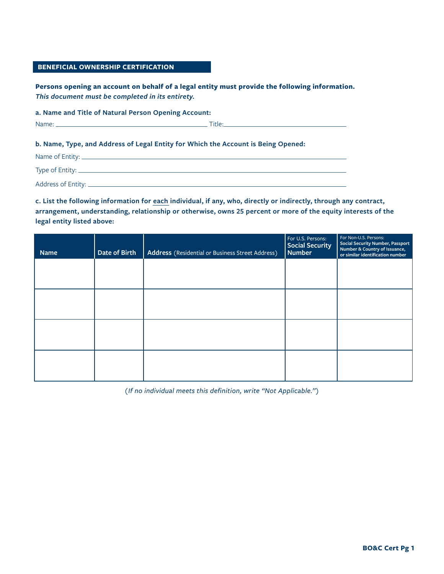## **BENEFICIAL OWNERSHIP CERTIFICATION**

**Persons opening an account on behalf of a legal entity must provide the following information.**  *This document must be completed in its entirety.*

**a. Name and Title of Natural Person Opening Account:** 

Name: \_\_\_\_\_\_\_\_\_\_\_\_\_\_\_\_\_\_\_\_\_\_\_\_\_\_\_\_\_\_\_\_\_\_\_\_\_\_\_\_\_\_\_\_\_\_\_ Title:\_\_\_\_\_\_\_\_\_\_\_\_\_\_\_\_\_\_\_\_\_\_\_\_\_\_\_\_\_\_\_\_\_\_\_\_\_\_

### **b. Name, Type, and Address of Legal Entity for Which the Account is Being Opened:**

| Name of Entity: _    |  |
|----------------------|--|
| Type of Entity: ____ |  |
| Address of Entity: _ |  |

**c. List the following information for each individual, if any, who, directly or indirectly, through any contract, arrangement, understanding, relationship or otherwise, owns 25 percent or more of the equity interests of the legal entity listed above:**

| <b>Name</b> | Date of Birth | Address (Residential or Business Street Address) | For U.S. Persons:<br><b>Social Security</b><br><b>Number</b> | For Non-U.S. Persons:<br><b>Social Security Number, Passport</b><br>Number & Country of Issuance,<br>or similar identification number |
|-------------|---------------|--------------------------------------------------|--------------------------------------------------------------|---------------------------------------------------------------------------------------------------------------------------------------|
|             |               |                                                  |                                                              |                                                                                                                                       |
|             |               |                                                  |                                                              |                                                                                                                                       |
|             |               |                                                  |                                                              |                                                                                                                                       |
|             |               |                                                  |                                                              |                                                                                                                                       |
|             |               |                                                  |                                                              |                                                                                                                                       |

*(If no individual meets this definition, write "Not Applicable.")*